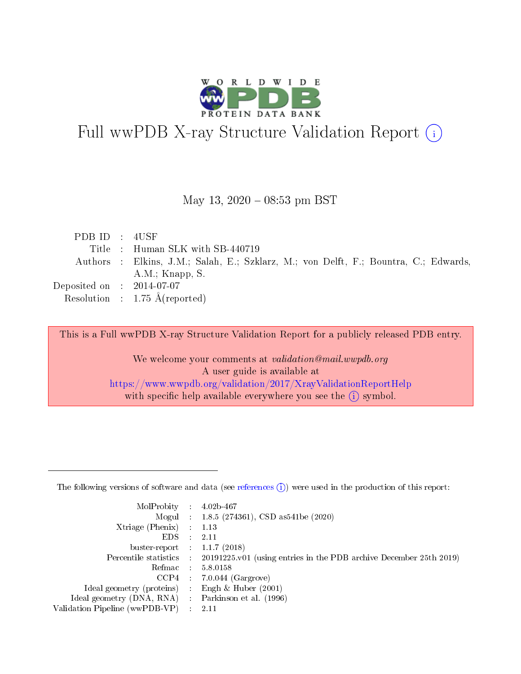

# Full wwPDB X-ray Structure Validation Report (i)

#### May 13,  $2020 - 08:53$  pm BST

| PDBID : 4USE                         |                                                                                      |
|--------------------------------------|--------------------------------------------------------------------------------------|
|                                      | Title : Human SLK with SB-440719                                                     |
|                                      | Authors : Elkins, J.M.; Salah, E.; Szklarz, M.; von Delft, F.; Bountra, C.; Edwards, |
|                                      | $A.M.:$ Knapp, S.                                                                    |
| Deposited on $\therefore$ 2014-07-07 |                                                                                      |
|                                      | Resolution : $1.75 \text{ Å}$ (reported)                                             |

This is a Full wwPDB X-ray Structure Validation Report for a publicly released PDB entry.

We welcome your comments at validation@mail.wwpdb.org A user guide is available at <https://www.wwpdb.org/validation/2017/XrayValidationReportHelp> with specific help available everywhere you see the  $(i)$  symbol.

The following versions of software and data (see [references](https://www.wwpdb.org/validation/2017/XrayValidationReportHelp#references)  $(1)$ ) were used in the production of this report:

| MolProbity : $4.02b-467$                          |                                                                                            |
|---------------------------------------------------|--------------------------------------------------------------------------------------------|
|                                                   | Mogul : 1.8.5 (274361), CSD as541be (2020)                                                 |
| $X$ triage (Phenix) : 1.13                        |                                                                                            |
| EDS :                                             | -2.11                                                                                      |
| buster-report : $1.1.7(2018)$                     |                                                                                            |
|                                                   | Percentile statistics : 20191225.v01 (using entries in the PDB archive December 25th 2019) |
|                                                   | Refmac 5.8.0158                                                                            |
|                                                   | $CCP4$ 7.0.044 (Gargrove)                                                                  |
| Ideal geometry (proteins) :                       | Engh $\&$ Huber (2001)                                                                     |
| Ideal geometry (DNA, RNA) Parkinson et al. (1996) |                                                                                            |
| Validation Pipeline (wwPDB-VP) : 2.11             |                                                                                            |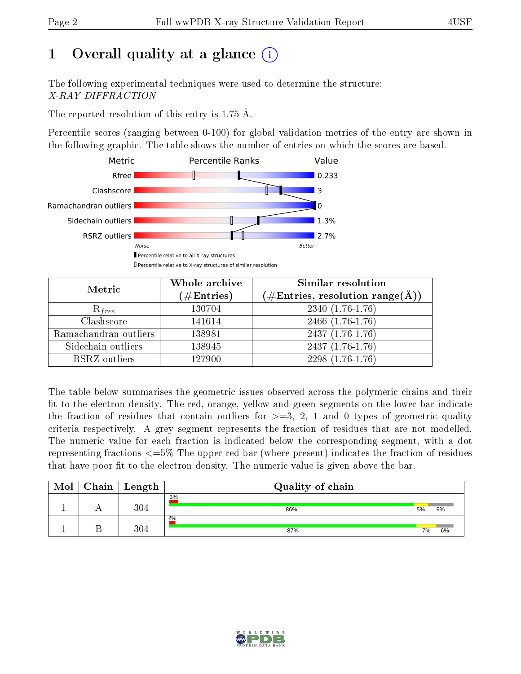# 1 [O](https://www.wwpdb.org/validation/2017/XrayValidationReportHelp#overall_quality)verall quality at a glance  $(i)$

The following experimental techniques were used to determine the structure: X-RAY DIFFRACTION

The reported resolution of this entry is 1.75 Å.

Percentile scores (ranging between 0-100) for global validation metrics of the entry are shown in the following graphic. The table shows the number of entries on which the scores are based.



| Metric                | Whole archive<br>$(\#\text{Entries})$ | Similar resolution<br>$(\#\text{Entries}, \, \text{resolution range}(\textup{\AA}))$ |  |  |
|-----------------------|---------------------------------------|--------------------------------------------------------------------------------------|--|--|
| $R_{free}$            | 130704                                | $2340(1.76-1.76)$                                                                    |  |  |
| Clashscore            | 141614                                | $2466$ $(1.76-1.76)$                                                                 |  |  |
| Ramachandran outliers | 138981                                | $2437(1.76-1.76)$                                                                    |  |  |
| Sidechain outliers    | 138945                                | $2437(1.76-1.76)$                                                                    |  |  |
| RSRZ outliers         | 127900                                | $2298(1.76-1.76)$                                                                    |  |  |

The table below summarises the geometric issues observed across the polymeric chains and their fit to the electron density. The red, orange, yellow and green segments on the lower bar indicate the fraction of residues that contain outliers for  $>=3, 2, 1$  and 0 types of geometric quality criteria respectively. A grey segment represents the fraction of residues that are not modelled. The numeric value for each fraction is indicated below the corresponding segment, with a dot representing fractions  $\epsilon=5\%$  The upper red bar (where present) indicates the fraction of residues that have poor fit to the electron density. The numeric value is given above the bar.

| Mol | Chain | $\perp$ Length | Quality of chain |    |    |
|-----|-------|----------------|------------------|----|----|
|     |       | 304            | 3%<br>86%        | 5% | 9% |
|     |       | 304            | 2%<br>87%        | 7% | 6% |

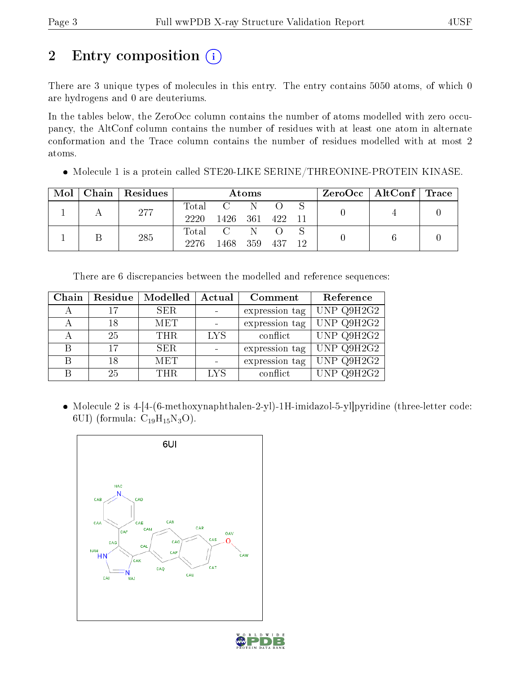# 2 Entry composition (i)

There are 3 unique types of molecules in this entry. The entry contains 5050 atoms, of which 0 are hydrogens and 0 are deuteriums.

In the tables below, the ZeroOcc column contains the number of atoms modelled with zero occupancy, the AltConf column contains the number of residues with at least one atom in alternate conformation and the Trace column contains the number of residues modelled with at most 2 atoms.

Molecule 1 is a protein called STE20-LIKE SERINE/THREONINE-PROTEIN KINASE.

| Mol | Chain   Residues | Atoms         |      |     |     | $ZeroOcc \mid AltConf \mid Trace$ |  |  |
|-----|------------------|---------------|------|-----|-----|-----------------------------------|--|--|
|     | 277              | Total<br>2220 | 1426 | 361 | 422 |                                   |  |  |
|     | 285              | Total<br>2276 | 1468 | 359 | 437 | 12.                               |  |  |

There are 6 discrepancies between the modelled and reference sequences:

| Chain | Residue | Modelled   | Actual     | Comment        | Reference  |
|-------|---------|------------|------------|----------------|------------|
|       | 17      | <b>SER</b> |            | expression tag | UNP Q9H2G2 |
| А     | 18      | <b>MET</b> |            | expression tag | UNP Q9H2G2 |
|       | 25      | THR.       | <b>LYS</b> | conflict       | UNP Q9H2G2 |
| B     | 17      | <b>SER</b> |            | expression tag | UNP Q9H2G2 |
| В     | 18      | <b>MET</b> |            | expression tag | UNP Q9H2G2 |
| В     | 25      | THR.       | <b>LYS</b> | conflict       | UNP Q9H2G2 |

 Molecule 2 is 4-[4-(6-methoxynaphthalen-2-yl)-1H-imidazol-5-yl]pyridine (three-letter code: 6UI) (formula:  $C_{19}H_{15}N_3O$ ).



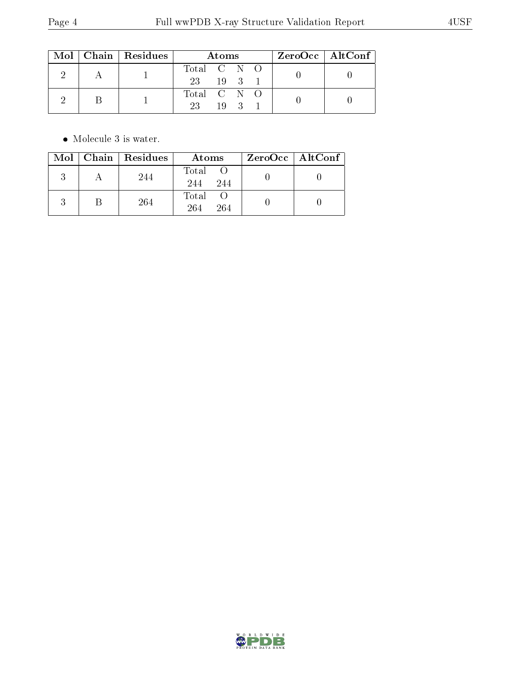|  | $\text{Mol}$   Chain   Residues | Atoms       |    |  |  | $ZeroOcc \mid AltConf \mid$ |  |
|--|---------------------------------|-------------|----|--|--|-----------------------------|--|
|  |                                 | Total C N O |    |  |  |                             |  |
|  |                                 | 23 19 3 1   |    |  |  |                             |  |
|  |                                 | Total C N O |    |  |  |                             |  |
|  |                                 | 23          | 19 |  |  |                             |  |

 $\bullet\,$  Molecule 3 is water.

| Mol | $\vert$ Chain $\vert$ Residues | Atoms               | ZeroOcc   AltConf |
|-----|--------------------------------|---------------------|-------------------|
|     | 244                            | Total<br>244<br>244 |                   |
|     | 264                            | Total<br>264<br>264 |                   |

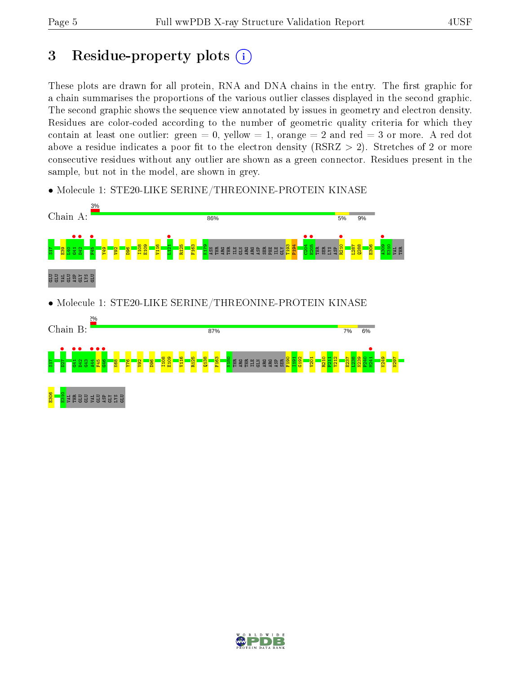# 3 Residue-property plots  $(i)$

These plots are drawn for all protein, RNA and DNA chains in the entry. The first graphic for a chain summarises the proportions of the various outlier classes displayed in the second graphic. The second graphic shows the sequence view annotated by issues in geometry and electron density. Residues are color-coded according to the number of geometric quality criteria for which they contain at least one outlier: green  $= 0$ , yellow  $= 1$ , orange  $= 2$  and red  $= 3$  or more. A red dot above a residue indicates a poor fit to the electron density (RSRZ  $> 2$ ). Stretches of 2 or more consecutive residues without any outlier are shown as a green connector. Residues present in the sample, but not in the model, are shown in grey.

• Molecule 1: STE20-LIKE SERINE/THREONINE-PROTEIN KINASE



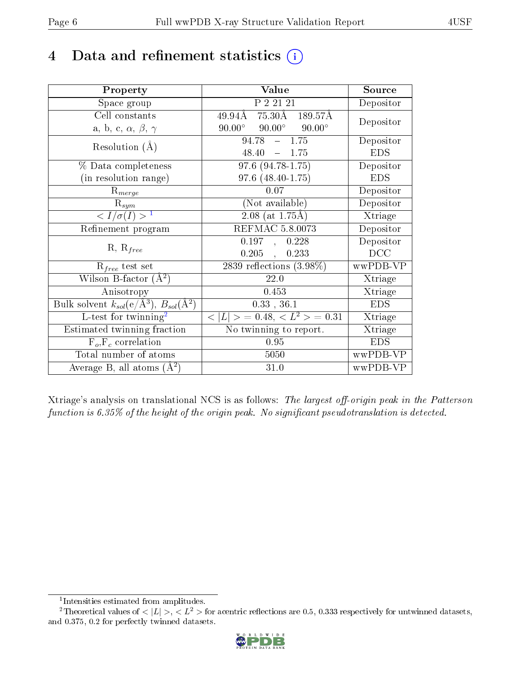## 4 Data and refinement statistics  $(i)$

| Property                                                         | Value                                                               | Source     |
|------------------------------------------------------------------|---------------------------------------------------------------------|------------|
| Space group                                                      | P 2 21 21                                                           | Depositor  |
| Cell constants                                                   | $\overline{49.94\text{\AA}}$ 75.30 $\text{\AA}$ 189.57 $\text{\AA}$ | Depositor  |
| a, b, c, $\alpha$ , $\beta$ , $\gamma$                           | $90.00^{\circ}$ $90.00^{\circ}$<br>$90.00^\circ$                    |            |
| Resolution $(A)$                                                 | $-1.75$<br>94.78                                                    | Depositor  |
|                                                                  | 48.40<br>$-1.75$                                                    | <b>EDS</b> |
| % Data completeness                                              | $\overline{97.6 (94.78-1.75)}$                                      | Depositor  |
| (in resolution range)                                            | $97.6$ $(48.40 - 1.75)$                                             | <b>EDS</b> |
| $R_{merge}$                                                      | 0.07                                                                | Depositor  |
| $\mathrm{R}_{sym}$                                               | (Not available)                                                     | Depositor  |
| $\langle I/\sigma(I) \rangle^{-1}$                               | $2.08$ (at 1.75Å)                                                   | Xtriage    |
| Refinement program                                               | <b>REFMAC 5.8.0073</b>                                              | Depositor  |
|                                                                  | $0.197$ ,<br>0.228                                                  | Depositor  |
| $R, R_{free}$                                                    | $0.205$ ,<br>0.233                                                  | DCC        |
| $R_{free}$ test set                                              | $2839$ reflections $(3.98\%)$                                       | wwPDB-VP   |
| Wilson B-factor $(A^2)$                                          | 22.0                                                                | Xtriage    |
| Anisotropy                                                       | 0.453                                                               | Xtriage    |
| Bulk solvent $k_{sol}(\text{e}/\text{A}^3), B_{sol}(\text{A}^2)$ | $0.33$ , 36.1                                                       | <b>EDS</b> |
| L-test for $\mathrm{twinning}^2$                                 | $< L >$ = 0.48, $< L2 >$ = 0.31                                     | Xtriage    |
| Estimated twinning fraction                                      | No twinning to report.                                              | Xtriage    |
| $F_o, F_c$ correlation                                           | 0.95                                                                | <b>EDS</b> |
| Total number of atoms                                            | 5050                                                                | wwPDB-VP   |
| Average B, all atoms $(A^2)$                                     | 31.0                                                                | wwPDB-VP   |

Xtriage's analysis on translational NCS is as follows: The largest off-origin peak in the Patterson function is  $6.35\%$  of the height of the origin peak. No significant pseudotranslation is detected.

<sup>&</sup>lt;sup>2</sup>Theoretical values of  $\langle |L| \rangle$ ,  $\langle L^2 \rangle$  for acentric reflections are 0.5, 0.333 respectively for untwinned datasets, and 0.375, 0.2 for perfectly twinned datasets.



<span id="page-5-1"></span><span id="page-5-0"></span><sup>1</sup> Intensities estimated from amplitudes.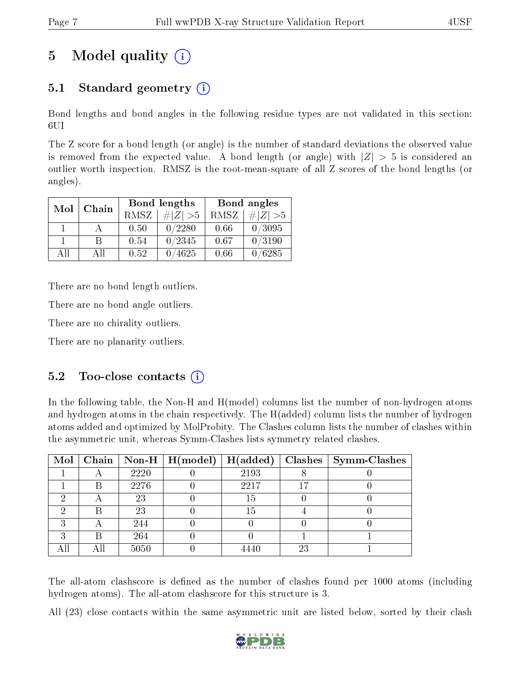# 5 Model quality  $(i)$

### 5.1 Standard geometry (i)

Bond lengths and bond angles in the following residue types are not validated in this section: 6UI

The Z score for a bond length (or angle) is the number of standard deviations the observed value is removed from the expected value. A bond length (or angle) with  $|Z| > 5$  is considered an outlier worth inspection. RMSZ is the root-mean-square of all Z scores of the bond lengths (or angles).

| Mol | Chain |             | Bond lengths    | Bond angles |             |  |
|-----|-------|-------------|-----------------|-------------|-------------|--|
|     |       | <b>RMSZ</b> | $\# Z  > 5$     | RMSZ        | $\# Z  > 5$ |  |
|     |       | 0.50        | 0/2280          | 0.66        | 0/3095      |  |
|     | R     | 0.54        | 0/2345          | 0.67        | 0/3190      |  |
| AH  | АH    | 0.52        | $^{\prime}4625$ | 0.66        | 0/6285      |  |

There are no bond length outliers.

There are no bond angle outliers.

There are no chirality outliers.

There are no planarity outliers.

### $5.2$  Too-close contacts  $(i)$

In the following table, the Non-H and H(model) columns list the number of non-hydrogen atoms and hydrogen atoms in the chain respectively. The H(added) column lists the number of hydrogen atoms added and optimized by MolProbity. The Clashes column lists the number of clashes within the asymmetric unit, whereas Symm-Clashes lists symmetry related clashes.

| Mol |     |      | $\vert$ Chain $\vert$ Non-H $\vert$ H(model) $\vert$ H(added) |      |    | $\text{Classes} \mid \text{Symm-Class}$ |
|-----|-----|------|---------------------------------------------------------------|------|----|-----------------------------------------|
|     |     | 2220 |                                                               | 2193 |    |                                         |
|     | В   | 2276 |                                                               | 2217 |    |                                         |
| ച   |     | 23   |                                                               | 15   |    |                                         |
|     | Β   | 23   |                                                               | 15   |    |                                         |
| ച   |     | 244  |                                                               |      |    |                                         |
| ົ   | Β   | 264  |                                                               |      |    |                                         |
|     | Αll | 5050 |                                                               | 4440 | 23 |                                         |

The all-atom clashscore is defined as the number of clashes found per 1000 atoms (including hydrogen atoms). The all-atom clashscore for this structure is 3.

All (23) close contacts within the same asymmetric unit are listed below, sorted by their clash

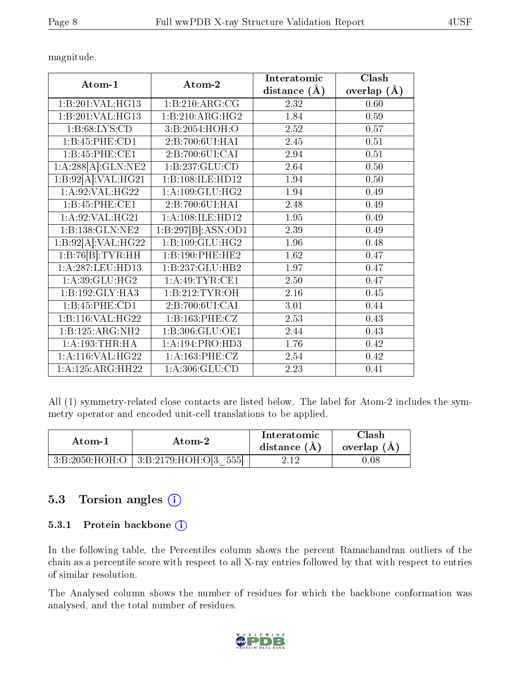magnitude.

| Atom-1             | Atom-2              | Interatomic       | Clash         |
|--------------------|---------------------|-------------------|---------------|
|                    |                     | distance $(A)$    | overlap $(A)$ |
| 1:B:201:VAL:HG13   | 1:B:210:ARG:CG      | 2.32              | 0.60          |
| 1:B:201:VAL:HG13   | 1:B:210:ARG:HG2     | 1.84              | 0.59          |
| 1: B:68: LYS:CD    | 3:B:2054:HOH:O      | 2.52              | 0.57          |
| 1:B:45:PHE:CD1     | 2:B:700:6UI:HAI     | 2.45              | 0.51          |
| 1:B:45:PHE:CE1     | 2:B:700:6UI:CAI     | 2.94              | 0.51          |
| 1:A:288[A]:GLN:NE2 | 1:B:237:GLU:CD      | 2.64              | 0.50          |
| 1:B:92[A]:VAL:HG21 | 1:B:108:ILE:HD12    | 1.94              | 0.50          |
| 1: A:92: VAL:HG22  | 1: A:109: GLU:HG2   | 1.94              | 0.49          |
| 1:B:45:PHE:CE1     | 2:B:700:6UI:HAI     | 2.48              | 0.49          |
| 1: A:92: VAL: HG21 | 1: A:108: ILE: HD12 | 1.95              | 0.49          |
| 1:B:138:GLN:NE2    | 1:B:297[B]:ASN:OD1  | 2.39              | 0.49          |
| 1:B:92[A]:VAL:HG22 | 1:B:109:GLU:HG2     | 1.96              | 0.48          |
| 1:B:76[B]:TYR:HH   | 1:B:190:PHE:HE2     | 1.62              | 0.47          |
| 1:A:287:LEU:HD13   | 1:B:237:GLU:HB2     | 1.97              | 0.47          |
| 1: A:39: GLU: HG2  | 1:A:49:TYR:CE1      | 2.50              | 0.47          |
| 1:B:192:GLY:HA3    | 1:B:212:TYR:OH      | 2.16              | 0.45          |
| 1:B:45:PHE:CD1     | 2:B:700:6UI:CAI     | 3.01              | 0.44          |
| 1:B:116:VAL:HG22   | 1:B:163:PHE:CZ      | 2.53              | 0.43          |
| 1:B:125:ARG:NH2    | 1:B:306:GLU:OE1     | 2.44              | 0.43          |
| 1: A: 193: THR: HA | 1:A:194:PRO:HD3     | 1.76              | 0.42          |
| 1: A:116: VAL:HG22 | 1:A:163:PHE:CZ      | 2.54              | 0.42          |
| 1:A:125:ARG:HH22   | 1: A: 306: GLU: CD  | $\overline{2.23}$ | 0.41          |

All (1) symmetry-related close contacts are listed below. The label for Atom-2 includes the symmetry operator and encoded unit-cell translations to be applied.

| Atom-1 | Atom-2                                   | Interatomic<br>distance $(A)$ | 7lash.<br>overlap $(A)$ |
|--------|------------------------------------------|-------------------------------|-------------------------|
|        | $3:B:2050:HOH:O   3:B:2179:HOH:O 3 555 $ | 2.12                          | 1.08                    |

### 5.3 Torsion angles (i)

#### 5.3.1 Protein backbone (i)

In the following table, the Percentiles column shows the percent Ramachandran outliers of the chain as a percentile score with respect to all X-ray entries followed by that with respect to entries of similar resolution.

The Analysed column shows the number of residues for which the backbone conformation was analysed, and the total number of residues.

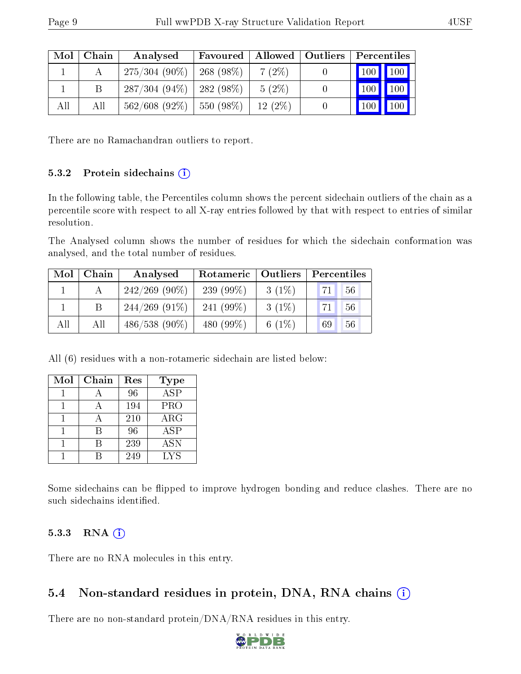| Mol | Chain | Analysed         | Favoured    |           | Allowed   Outliers | Percentiles            |
|-----|-------|------------------|-------------|-----------|--------------------|------------------------|
|     |       | $275/304(90\%)$  | $268(98\%)$ | $7(2\%)$  |                    | 100 100                |
|     |       | $287/304(94\%)$  | $282(98\%)$ | $5(2\%)$  |                    | $\parallel$ 100<br>100 |
| All | All   | $562/608$ (92\%) | 550 (98%)   | $12(2\%)$ |                    | 100   100              |

There are no Ramachandran outliers to report.

#### 5.3.2 Protein sidechains  $(i)$

In the following table, the Percentiles column shows the percent sidechain outliers of the chain as a percentile score with respect to all X-ray entries followed by that with respect to entries of similar resolution.

The Analysed column shows the number of residues for which the sidechain conformation was analysed, and the total number of residues.

| Mol | Chain | Analysed         | Rotameric   Outliers |          | Percentiles |  |  |
|-----|-------|------------------|----------------------|----------|-------------|--|--|
|     |       | $242/269$ (90\%) | 239 $(99\%)$         | $3(1\%)$ | 56<br>71    |  |  |
|     |       | $244/269$ (91\%) | 241 $(99\%)$         | $3(1\%)$ | 56<br>71    |  |  |
| All | All   | $486/538(90\%)$  | 480 $(99\%)$         | 6 $(1%)$ | 56<br>69    |  |  |

All (6) residues with a non-rotameric sidechain are listed below:

| Mol | Chain | Res | <b>Type</b>          |
|-----|-------|-----|----------------------|
|     |       | 96  | $\overline{\rm ASP}$ |
|     |       | 194 | <b>PRO</b>           |
|     |       | 210 | $\rm{ARG}$           |
|     | R     | 96  | ASP                  |
|     |       | 239 | <b>ASN</b>           |
|     |       | 249 | LYS                  |

Some sidechains can be flipped to improve hydrogen bonding and reduce clashes. There are no such sidechains identified.

#### 5.3.3 RNA (i)

There are no RNA molecules in this entry.

### 5.4 Non-standard residues in protein, DNA, RNA chains (i)

There are no non-standard protein/DNA/RNA residues in this entry.

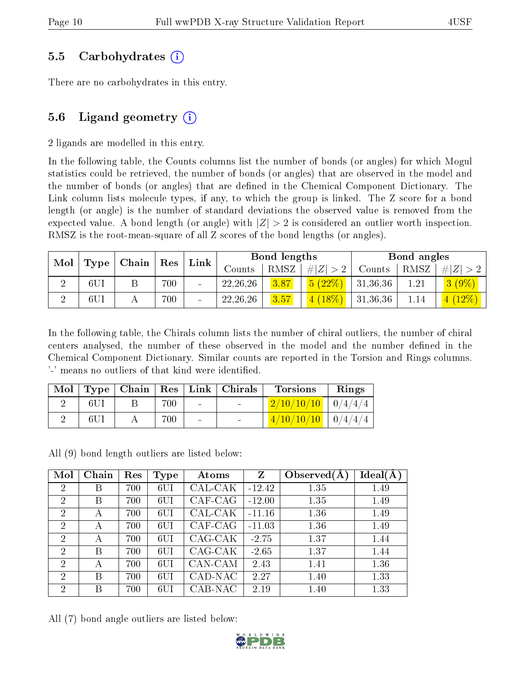#### 5.5 Carbohydrates (i)

There are no carbohydrates in this entry.

### 5.6 Ligand geometry  $(i)$

2 ligands are modelled in this entry.

In the following table, the Counts columns list the number of bonds (or angles) for which Mogul statistics could be retrieved, the number of bonds (or angles) that are observed in the model and the number of bonds (or angles) that are defined in the Chemical Component Dictionary. The Link column lists molecule types, if any, to which the group is linked. The Z score for a bond length (or angle) is the number of standard deviations the observed value is removed from the expected value. A bond length (or angle) with  $|Z| > 2$  is considered an outlier worth inspection. RMSZ is the root-mean-square of all Z scores of the bond lengths (or angles).

| Mol | $\mid$ Chain $\mid$ | $\vert$ Res | Link | Bond lengths |            |      | Bond angles |          |          |                           |
|-----|---------------------|-------------|------|--------------|------------|------|-------------|----------|----------|---------------------------|
|     | Type                |             |      |              | Counts     | RMSZ | # $ Z  > 2$ | Counts   | RMSZ     | Z                         |
|     | 6U1                 |             | 700  |              | 22, 26, 26 | 3.87 | 5(22%)      | 31,36,36 | $1.21\,$ | $(9\%)$<br>3 <sup>1</sup> |
|     | 6U1                 |             | 700  |              | 22, 26, 26 | 3.57 | $4(18\%)$   | 31,36,36 | 1.14     | (4 (12%)                  |

In the following table, the Chirals column lists the number of chiral outliers, the number of chiral centers analysed, the number of these observed in the model and the number defined in the Chemical Component Dictionary. Similar counts are reported in the Torsion and Rings columns. '-' means no outliers of that kind were identified.

| Mol |      |     |                | $\vert$ Type   Chain   Res   Link   Chirals | <b>Torsions</b>                                                                                                              | Rings |
|-----|------|-----|----------------|---------------------------------------------|------------------------------------------------------------------------------------------------------------------------------|-------|
|     | -6UI | 700 | $\sim 10^{-1}$ | <b>Contract Contract</b>                    | $2/10/10/10$   $0/4/4/4$                                                                                                     |       |
|     |      | 700 | $\sim$         |                                             | $\left( \frac{4}{10} \frac{1}{10} \right) \left( \frac{1}{10} \right) \left( \frac{1}{4} \right) \left( \frac{4}{4} \right)$ |       |

All (9) bond length outliers are listed below:

| Mol            | Chain | Res | Type            | Atoms   | Z        | Observed $(A)$ | Ideal(A) |
|----------------|-------|-----|-----------------|---------|----------|----------------|----------|
| $\overline{2}$ | Β     | 700 | 6UI             | CAL-CAK | $-12.42$ | 1.35           | 1.49     |
| $\overline{2}$ | Β     | 700 | 6UI             | CAF-CAG | $-12.00$ | 1.35           | 1.49     |
| 2              | А     | 700 | 6UI             | CAL-CAK | $-11.16$ | 1.36           | 1.49     |
| $\overline{2}$ | А     | 700 | 6UI             | CAF-CAG | $-11.03$ | 1.36           | 1.49     |
| $\overline{2}$ | А     | 700 | 6UI             | CAG-CAK | $-2.75$  | 1.37           | 1.44     |
| 2              | В     | 700 | 6UI             | CAG-CAK | $-2.65$  | 1.37           | 1.44     |
| $\overline{2}$ | А     | 700 | 6UI             | CAN-CAM | 2.43     | 1.41           | 1.36     |
| 2              | Β     | 700 | 6UI             | CAD-NAC | 2.27     | 1.40           | 1.33     |
| $\overline{2}$ | В     | 700 | 6 <sub>UI</sub> | CAB-NAC | 2.19     | 1.40           | 1.33     |

All (7) bond angle outliers are listed below:

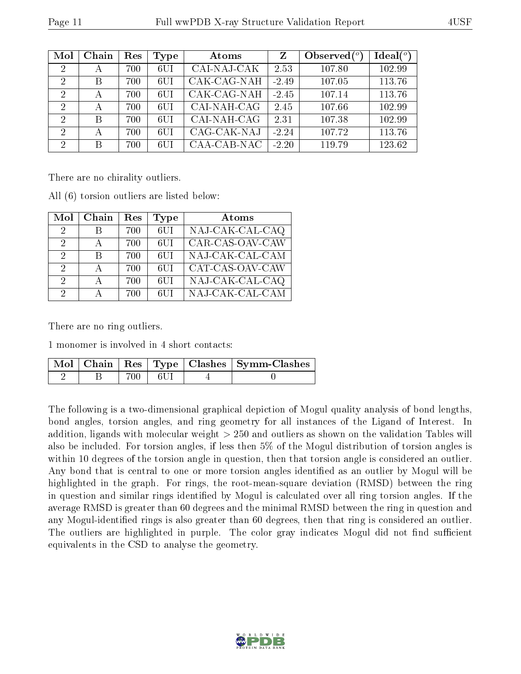| Mol            | Chain | Res | Type | Atoms       | Z       | Observed $\binom{o}{c}$ | Ideal $(^\circ)$ |
|----------------|-------|-----|------|-------------|---------|-------------------------|------------------|
| 2              | А     | 700 | 6UI  | CAI-NAJ-CAK | 2.53    | 107.80                  | 102.99           |
| $\mathcal{D}$  | В     | 700 | 6UI  | CAK-CAG-NAH | $-2.49$ | 107.05                  | 113.76           |
| $\mathcal{D}$  | А     | 700 | 6UI  | CAK-CAG-NAH | $-2.45$ | 107.14                  | 113.76           |
| 2              | А     | 700 | 6UI  | CAI-NAH-CAG | 2.45    | 107.66                  | 102.99           |
| 2              | В     | 700 | 6UI  | CAI-NAH-CAG | 2.31    | 107.38                  | 102.99           |
| $\overline{2}$ | А     | 700 | 6UI  | CAG-CAK-NAJ | $-2.24$ | 107.72                  | 113.76           |
| $\overline{2}$ | В     | 700 | 6UI  | CAA-CAB-NAC | $-2.20$ | 119.79                  | 123.62           |

There are no chirality outliers.

All (6) torsion outliers are listed below:

| Mol           | Chain        | Res | Type             | Atoms           |
|---------------|--------------|-----|------------------|-----------------|
| 2             | R            | 700 | $6$ UI           | NAJ-CAK-CAL-CAQ |
| $\mathcal{D}$ | $\mathbf{A}$ | 700 | 6UI              | CAR-CAS-OAV-CAW |
| 2             | R            | 700 | 6UI              | NAJ-CAK-CAL-CAM |
| $\mathcal{D}$ | $\mathbf{A}$ | 700 | 6UI              | CAT-CAS-OAV-CAW |
| 2             | $\Delta$     | 700 | 6 <sup>U</sup> 1 | NAJ-CAK-CAL-CAQ |
| 2             |              | 700 | 6UI              | NAJ-CAK-CAL-CAM |

There are no ring outliers.

1 monomer is involved in 4 short contacts:

|  |           | $\lceil \text{Mol} \rceil$ Chain   Res   Type   Clashes   Symm-Clashes |
|--|-----------|------------------------------------------------------------------------|
|  | 700   6UI |                                                                        |

The following is a two-dimensional graphical depiction of Mogul quality analysis of bond lengths, bond angles, torsion angles, and ring geometry for all instances of the Ligand of Interest. In addition, ligands with molecular weight > 250 and outliers as shown on the validation Tables will also be included. For torsion angles, if less then 5% of the Mogul distribution of torsion angles is within 10 degrees of the torsion angle in question, then that torsion angle is considered an outlier. Any bond that is central to one or more torsion angles identified as an outlier by Mogul will be highlighted in the graph. For rings, the root-mean-square deviation (RMSD) between the ring in question and similar rings identified by Mogul is calculated over all ring torsion angles. If the average RMSD is greater than 60 degrees and the minimal RMSD between the ring in question and any Mogul-identified rings is also greater than 60 degrees, then that ring is considered an outlier. The outliers are highlighted in purple. The color gray indicates Mogul did not find sufficient equivalents in the CSD to analyse the geometry.

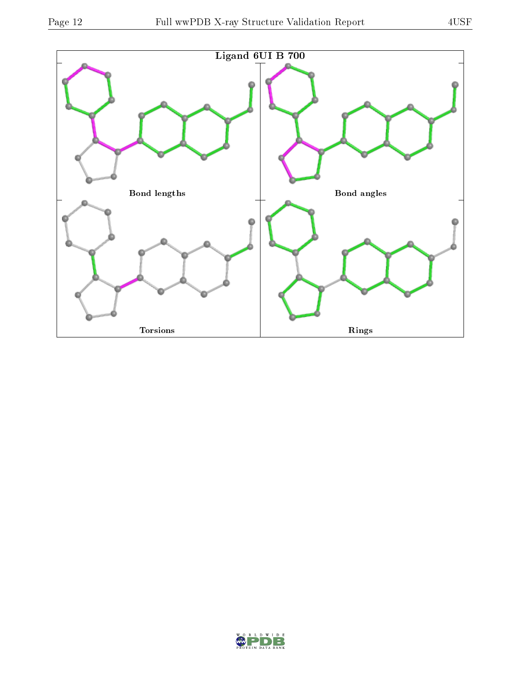

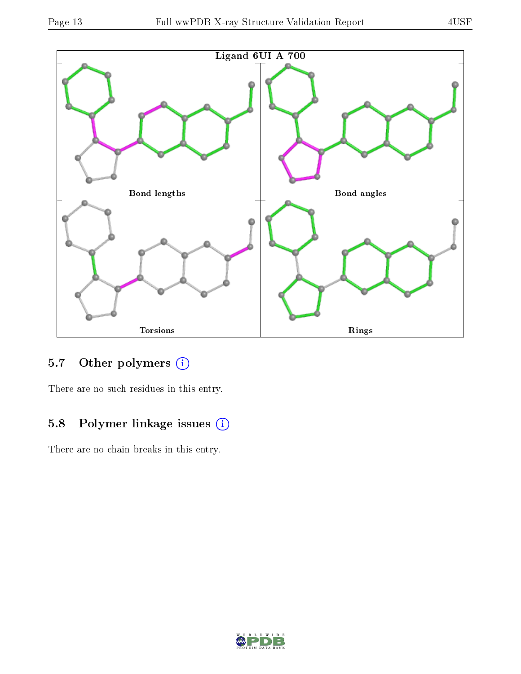

## 5.7 [O](https://www.wwpdb.org/validation/2017/XrayValidationReportHelp#nonstandard_residues_and_ligands)ther polymers (i)

There are no such residues in this entry.

### 5.8 Polymer linkage issues (i)

There are no chain breaks in this entry.

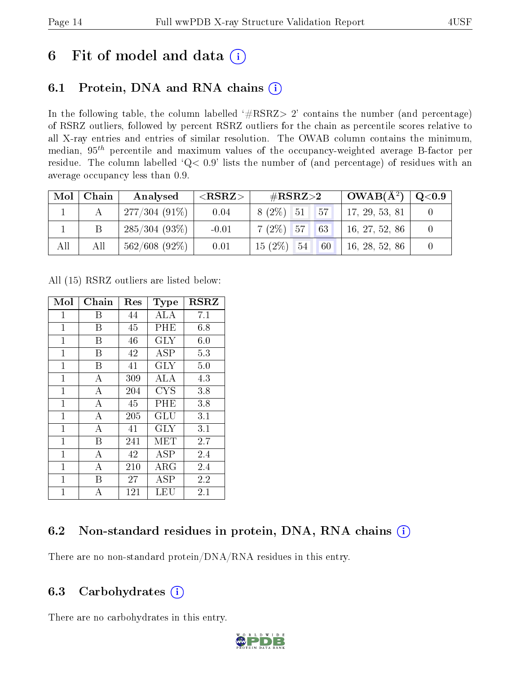## 6 Fit of model and data  $(i)$

### 6.1 Protein, DNA and RNA chains  $(i)$

In the following table, the column labelled  $#RSRZ> 2'$  contains the number (and percentage) of RSRZ outliers, followed by percent RSRZ outliers for the chain as percentile scores relative to all X-ray entries and entries of similar resolution. The OWAB column contains the minimum, median,  $95<sup>th</sup>$  percentile and maximum values of the occupancy-weighted average B-factor per residue. The column labelled ' $Q< 0.9$ ' lists the number of (and percentage) of residues with an average occupancy less than 0.9.

| Mol | Chain | Analysed          | $<$ RSRZ $>$ | $\rm \#RSRZ{>}2$               | $\mid$ OWAB(Å <sup>2</sup> ) $\mid$ Q<0.9 $\mid$ |  |
|-----|-------|-------------------|--------------|--------------------------------|--------------------------------------------------|--|
|     |       | $ 277/304(91\%) $ | 0.04         | $\sqrt{57}$<br>$8(2\%)$ 51     | 17, 29, 53, 81                                   |  |
|     |       | 1285/304(93%)     | $-0.01$      | 63 <br>$7(2\%)$ 57             | 16, 27, 52, 86                                   |  |
| All | All   | $562/608$ (92\%)  | 0.01         | $15(2\%)$ 54 60 16, 28, 52, 86 |                                                  |  |

All (15) RSRZ outliers are listed below:

| Mol            | ${\rm Chain}$  | Res     | Type                    | <b>RSRZ</b> |
|----------------|----------------|---------|-------------------------|-------------|
| 1              | В              | 44      | ALA                     | 7.1         |
| $\mathbf{1}$   | B              | 45      | PHE                     | 6.8         |
| $\mathbf{1}$   | B              | 46      | $\overline{\text{GLY}}$ | 6.0         |
| $\mathbf{1}$   | В              | 42      | ASP                     | 5.3         |
| $\mathbf{1}$   | B              | 41      | <b>GLY</b>              | 5.0         |
| $\mathbf{1}$   | А              | 309     | ALA                     | 4.3         |
| $\mathbf{1}$   | $\overline{A}$ | 204     | <b>CYS</b>              | 3.8         |
| $\overline{1}$ | А              | 45      | PHE                     | 3.8         |
| $\mathbf{1}$   | A              | 205     | GLU                     | 3.1         |
| $\overline{1}$ | $\overline{A}$ | 41      | <b>GLY</b>              | 3.1         |
| $\mathbf{1}$   | B              | 241     | MET                     | $2.7\,$     |
| $\mathbf{1}$   | $\overline{A}$ | 42      | <b>ASP</b>              | 2.4         |
| $\mathbf{1}$   | А              | $210\,$ | ${\rm ARG}$             | 2.4         |
| $\mathbf 1$    | Β              | $27\,$  | ASP                     | 2.2         |
| 1              | А              | 121     | LEU                     | 2.1         |

### 6.2 Non-standard residues in protein, DNA, RNA chains (i)

There are no non-standard protein/DNA/RNA residues in this entry.

### 6.3 Carbohydrates  $(i)$

There are no carbohydrates in this entry.

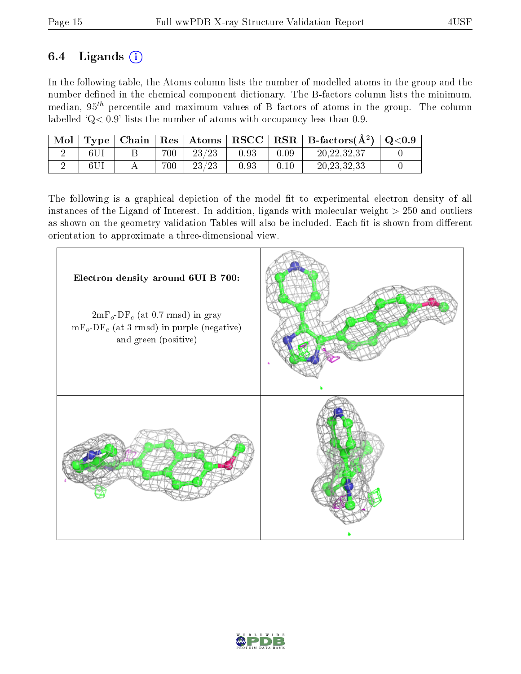### 6.4 Ligands  $(i)$

In the following table, the Atoms column lists the number of modelled atoms in the group and the number defined in the chemical component dictionary. The B-factors column lists the minimum, median,  $95<sup>th</sup>$  percentile and maximum values of B factors of atoms in the group. The column labelled  $Q < 0.9$ ' lists the number of atoms with occupancy less than 0.9.

| Mol | Type <sub>1</sub> | Chain |     | $\mid$ $\mathrm{Res}\mid$ $\mathrm{Atoms}\mid$ | RSCC     |          | $\perp$ RSR $\parallel$ B-factors( $\rm \AA^2)$ ) | $\rm Q\textcolor{black}{<}0.9$ |
|-----|-------------------|-------|-----|------------------------------------------------|----------|----------|---------------------------------------------------|--------------------------------|
|     |                   |       | 700 | 23/23                                          | $0.93\,$ | $0.09\,$ | 20, 22, 32, 37                                    |                                |
|     |                   |       | 700 | 23/23                                          | ${).}93$ |          | 20, 23, 32, 33                                    |                                |

The following is a graphical depiction of the model fit to experimental electron density of all instances of the Ligand of Interest. In addition, ligands with molecular weight  $> 250$  and outliers as shown on the geometry validation Tables will also be included. Each fit is shown from different orientation to approximate a three-dimensional view.